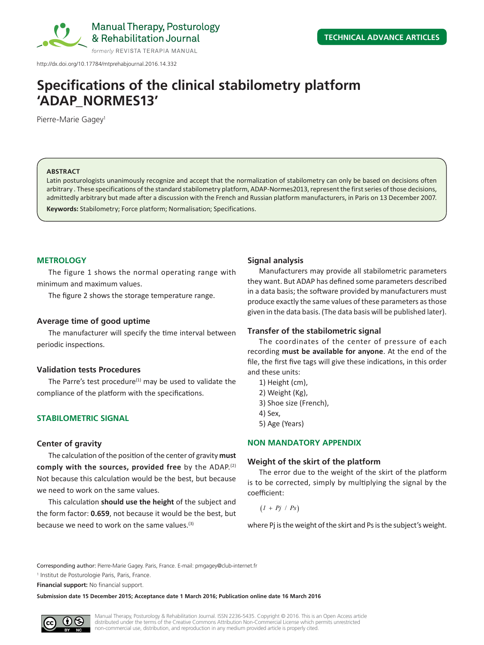

Manual Therapy, Posturology & Rehabilitation Journal

http://dx.doi.org/10.17784/mtprehabjournal.2016.14.332

# **Specifications of the clinical stabilometry platform 'ADAP\_NORMES13'**

Pierre-Marie Gagey<sup>1</sup>

#### **ABSTRACT**

Latin posturologists unanimously recognize and accept that the normalization of stabilometry can only be based on decisions often arbitrary . These specifications of the standard stabilometry platform, ADAP-Normes2013, represent the first series of those decisions, admittedly arbitrary but made after a discussion with the French and Russian platform manufacturers, in Paris on 13 December 2007.

**Keywords:** Stabilometry; Force platform; Normalisation; Specifications.

## **METROLOGY**

The figure 1 shows the normal operating range with minimum and maximum values.

The figure 2 shows the storage temperature range.

## **Average time of good uptime**

The manufacturer will specify the time interval between periodic inspections.

## **Validation tests Procedures**

The Parre's test procedure $(1)$  may be used to validate the compliance of the platform with the specifications.

## **STABILOMETRIC SIGNAL**

#### **Center of gravity**

The calculation of the position of the center of gravity **must comply with the sources, provided free** by the ADAP.(2) Not because this calculation would be the best, but because we need to work on the same values.

This calculation **should use the height** of the subject and the form factor: **0.659**, not because it would be the best, but because we need to work on the same values.<sup>(3)</sup>

## **Signal analysis**

Manufacturers may provide all stabilometric parameters they want. But ADAP has defined some parameters described in a data basis; the software provided by manufacturers must produce exactly the same values of these parameters as those given in the data basis. (The data basis will be published later).

## **Transfer of the stabilometric signal**

The coordinates of the center of pressure of each recording **must be available for anyone**. At the end of the file, the first five tags will give these indications, in this order and these units:

- 1) Height (cm),
- 2) Weight (Kg),
- 3) Shoe size (French),
- 4) Sex,
- 5) Age (Years)

## **NON MANDATORY APPENDIX**

#### **Weight of the skirt of the platform**

The error due to the weight of the skirt of the platform is to be corrected, simply by multiplying the signal by the coefficient:

 $(I + Pj / Ps)$ 

where Pj is the weight of the skirt and Ps is the subject's weight.

Corresponding author: Pierre-Marie Gagey. Paris, France. E-mail: pmgagey@club-internet.fr

1 Institut de Posturologie Paris, Paris, France.

**Financial support:** No financial support.

**Submission date 15 December 2015; Acceptance date 1 March 2016; Publication online date 16 March 2016**

Manual Therapy, Posturology & Rehabilitation Journal. ISSN 2236-5435. Copyright © 2016. This is an Open Access article distributed under the terms of the Creative Commons Attribution Non-Commercial License which permits unrestricted non-commercial use, distribution, and reproduction in any medium provided article is properly cited.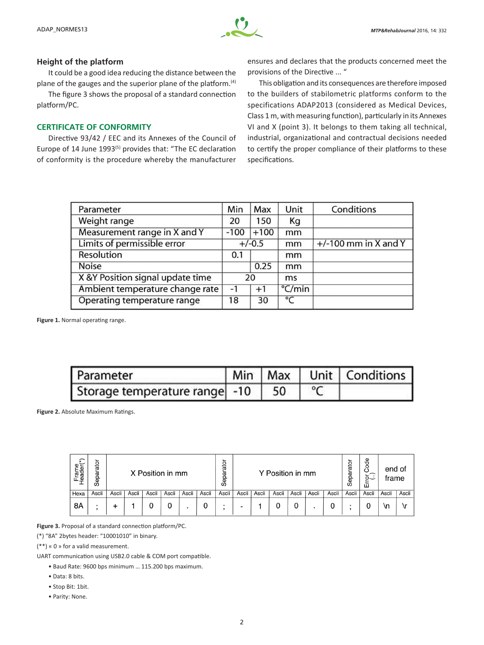#### **Height of the platform**

It could be a good idea reducing the distance between the plane of the gauges and the superior plane of the platform.(4)

The figure 3 shows the proposal of a standard connection platform/PC.

## **CERTIFICATE OF CONFORMITY**

Directive 93/42 / EEC and its Annexes of the Council of Europe of 14 June 1993<sup>(5)</sup> provides that: "The EC declaration of conformity is the procedure whereby the manufacturer ensures and declares that the products concerned meet the provisions of the Directive ... "

This obligation and its consequences are therefore imposed to the builders of stabilometric platforms conform to the specifications ADAP2013 (considered as Medical Devices, Class 1 m, with measuring function), particularly in its Annexes VI and X (point 3). It belongs to them taking all technical, industrial, organizational and contractual decisions needed to certify the proper compliance of their platforms to these specifications.

| Parameter                        | Min    | Max      | Unit            | Conditions             |
|----------------------------------|--------|----------|-----------------|------------------------|
| Weight range                     | 20     | 150      | Kg              |                        |
| Measurement range in X and Y     | $-100$ | $+100$   | mm              |                        |
| Limits of permissible error      |        | $+/-0.5$ | mm              | $+/-100$ mm in X and Y |
| Resolution                       | 0.1    |          | mm              |                        |
| <b>Noise</b>                     |        | 0.25     | mm              |                        |
| X &Y Position signal update time |        | 20       | ms              |                        |
| Ambient temperature change rate  | -1     | $+1$     | $\degree$ C/min |                        |
| Operating temperature range      | 18     | 30       | $\overline{C}$  |                        |

**Figure 1.** Normal operating range.

| Parameter                        |  | Min   Max   Unit   Conditions |
|----------------------------------|--|-------------------------------|
| Storage temperature range -10 50 |  |                               |

**Figure 2.** Absolute Maximum Ratings.

| ↶<br>Frame<br>Header(* | rator<br>Separ | X Position in mm |       |       |       |       | <u>_</u><br>ato<br>ω<br>≏<br>မြွ | Y Position in mm |       |       |       |       |       | ato<br>Separ | Code<br>ర్~<br>面 | end of<br>frame |       |       |
|------------------------|----------------|------------------|-------|-------|-------|-------|----------------------------------|------------------|-------|-------|-------|-------|-------|--------------|------------------|-----------------|-------|-------|
| Hexa                   | Ascii          | Ascii            | Ascii | Ascii | Ascii | Ascii | Ascii                            | Ascii            | Ascii | Ascii | Ascii | Ascii | Ascii | Ascii        | Ascii            | Ascii           | Ascii | Ascii |
| 8Α                     | ٠              |                  |       |       |       |       |                                  |                  | -     |       |       | 0     |       |              |                  |                 | ۱n    | ۱r    |

**Figure 3.** Proposal of a standard connection platform/PC.

(\*) "8A" 2bytes header: "10001010" in binary.

(\*\*) « 0 » for a valid measurement.

UART communication using USB2.0 cable & COM port compatible.

• Baud Rate: 9600 bps minimum … 115.200 bps maximum.

- Data: 8 bits.
- Stop Bit: 1bit.
- Parity: None.